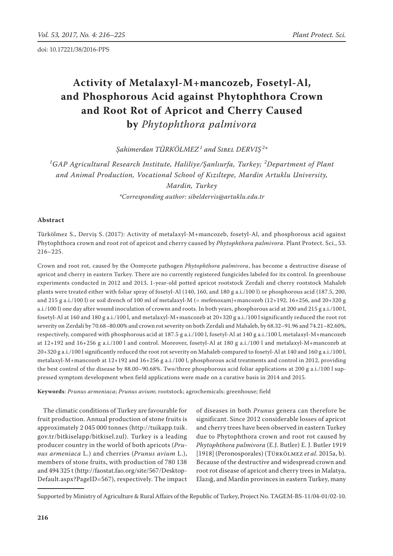# **Activity of Metalaxyl-M+mancozeb, Fosetyl-Al, and Phosphorous Acid against Phytophthora Crown and Root Rot of Apricot and Cherry Caused by** *Phytophthora palmivora*

*Şahimerdan Türkölmez<sup>1</sup> and Sibel DerviŞ 2 \**

<sup>1</sup>GAP Agricultural Research Institute, Haliliye/Şanlıurfa, Turkey; <sup>2</sup>Department of Plant *and Animal Production, Vocational School of Kızıltepe, Mardin Artuklu University, Mardin, Turkey \*Corresponding author: sibeldervis@artuklu.edu.tr*

# **Abstract**

Türkölmez S., Derviş S. (2017): Activity of metalaxyl-M+mancozeb, fosetyl-Al, and phosphorous acid against Phytophthora crown and root rot of apricot and cherry caused by *Phytophthora palmivora*. Plant Protect. Sci., 53. 216–225.

Crown and root rot, caused by the Oomycete pathogen *Phytophthora palmivora*, has become a destructive disease of apricot and cherry in eastern Turkey. There are no currently registered fungicides labeled for its control. In greenhouse experiments conducted in 2012 and 2013, 1-year-old potted apricot rootstock Zerdali and cherry rootstock Mahaleb plants were treated either with foliar spray of fosetyl-Al (140, 160, and 180 g a.i./100 l) or phosphorous acid (187.5, 200, and 215 g a.i./100 l) or soil drench of 100 ml of metalaxyl-M (= mefenoxam)+mancozeb (12+192, 16+256, and 20+320 g a.i./100 l) one day after wound inoculation of crowns and roots. In both years, phosphorous acid at 200 and 215 g a.i./100 l, fosetyl-Al at 160 and 180 g a.i./100 l, and metalaxyl-M+mancozeb at 20+320 g a.i./100 l significantly reduced the root rot severity on Zerdali by 70.68–80.00% and crown rot severity on both Zerdali and Mahaleb, by 68.32–91.96 and 74.21–82.60%, respectively, compared with phosphorous acid at 187.5 g a.i./100 l, fosetyl-Al at 140 g a.i./100 l, metalaxyl-M+mancozeb at 12+192 and 16+256 g a.i./100 l and control. Moreover, fosetyl-Al at 180 g a.i./100 l and metalaxyl-M+mancozeb at 20+320 g a.i./100 l significantly reduced the root rot severity on Mahaleb compared to fosetyl-Al at 140 and 160 g a.i./100 l, metalaxyl-M+mancozeb at 12+192 and 16+256 g a.i./100 l, phosphorous acid treatments and control in 2012, providing the best control of the disease by 88.00–90.68%. Two/three phosphorous acid foliar applications at 200 g a.i./100 l suppressed symptom development when field applications were made on a curative basis in 2014 and 2015.

**Keywords**: *Prunus armeniaca*; *Prunus avium*; rootstock; agrochemicals; greenhouse; field

The climatic conditions of Turkey are favourable for fruit production. Annual production of stone fruits is approximately 2 045 000 tonnes (http://tuikapp.tuik. gov.tr/bitkiselapp/bitkisel.zul). Turkey is a leading producer country in the world of both apricots (*Prunus armeniaca* L.) and cherries (*Prunus avium* L.), members of stone fruits, with production of 780 138 and 494 325 t (http://faostat.fao.org/site/567/Desktop-Default.aspx?PageID=567), respectively. The impact of diseases in both *Prunus* genera can therefore be significant. Since 2012 considerable losses of apricot and cherry trees have been observed in eastern Turkey due to Phytophthora crown and root rot caused by *Phytophthora palmivora* (E.J. Butler) E. J. Butler 1919 [1918] (Peronosporales) (Türkölmez *et al*. 2015a, b). Because of the destructive and widespread crown and root rot disease of apricot and cherry trees in Malatya, Elazığ, and Mardin provinces in eastern Turkey, many

Supported by Ministry of Agriculture & Rural Affairs of the Republic of Turkey, Project No. TAGEM-BS-11/04-01/02-10.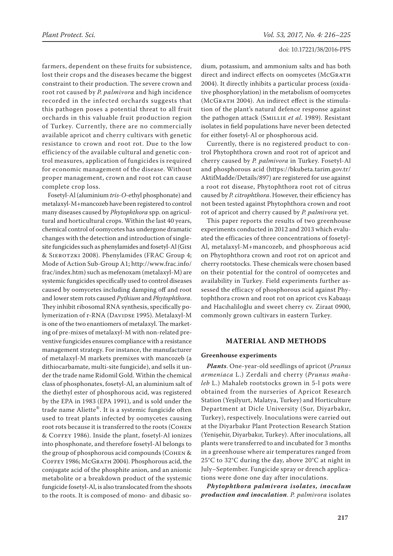farmers, dependent on these fruits for subsistence, lost their crops and the diseases became the biggest constraint to their production. The severe crown and root rot caused by *P. palmivora* and high incidence recorded in the infected orchards suggests that this pathogen poses a potential threat to all fruit orchards in this valuable fruit production region of Turkey. Currently, there are no commercially available apricot and cherry cultivars with genetic resistance to crown and root rot. Due to the low efficiency of the available cultural and genetic control measures, application of fungicides is required for economic management of the disease. Without proper management, crown and root rot can cause complete crop loss.

Fosetyl-Al (aluminium *tris*-*O*-ethyl phosphonate) and metalaxyl-M+mancozeb have been registered to control many diseases caused by *Phytophthora* spp. on agricultural and horticultural crops. Within the last 40 years, chemical control of oomycetes has undergone dramatic changes with the detection and introduction of singlesite fungicides such as phenylamides and fosetyl-Al (Gisi & Sierotzki 2008). Phenylamides (FRAC Group 4; Mode of Action Sub-Group A1; http://www.frac.info/ frac/index.htm) such as mefenoxam (metalaxyl-M) are systemic fungicides specifically used to control diseases caused by oomycetes including damping off and root and lower stem rots caused *Pythium* and *Phytophthora*. They inhibit ribosomal RNA synthesis, specifically polymerization of r-RNA (DAVIDSE 1995). Metalaxyl-M is one of the two enantiomers of metalaxyl. The marketing of pre-mixes of metalaxyl-M with non-related preventive fungicides ensures compliance with a resistance management strategy. For instance, the manufacturer of metalaxyl-M markets premixes with mancozeb (a dithiocarbamate, multi-site fungicide), and sells it under the trade name Ridomil Gold. Within the chemical class of phosphonates, fosetyl-Al, an aluminium salt of the diethyl ester of phosphorous acid, was registered by the EPA in 1983 (EPA 1991), and is sold under the trade name Aliette®. It is a systemic fungicide often used to treat plants infected by oomycetes causing root rots because it is transferred to the roots (Cohen & Coffey 1986). Inside the plant, fosetyl-Al ionizes into phosphonate, and therefore fosetyl-Al belongs to the group of phosphorous acid compounds (Cohen & COFFEY 1986; McGRATH 2004). Phosphorous acid, the conjugate acid of the phosphite anion, and an anionic metabolite or a breakdown product of the systemic fungicide fosetyl-Al, is also translocated from the shoots to the roots. It is composed of mono- and dibasic so-

dium, potassium, and ammonium salts and has both direct and indirect effects on oomycetes (McGRATH 2004). It directly inhibits a particular process (oxidative phosphorylation) in the metabolism of oomycetes (MCGRATH 2004). An indirect effect is the stimulation of the plant's natural defence response against the pathogen attack (Smillie *et al*. 1989). Resistant isolates in field populations have never been detected for either fosetyl-Al or phosphorous acid.

Currently, there is no registered product to control Phytophthora crown and root rot of apricot and cherry caused by *P. palmivora* in Turkey. Fosetyl-Al and phosphorous acid (https://bkubeta.tarim.gov.tr/ AktifMadde/Details/897) are registered for use against a root rot disease, Phytophthora root rot of citrus caused by *P. citrophthora*. However, their efficiency has not been tested against Phytophthora crown and root rot of apricot and cherry caused by *P. palmivora* yet.

This paper reports the results of two greenhouse experiments conducted in 2012 and 2013 which evaluated the efficacies of three concentrations of fosetyl-Al, metalaxyl-M+mancozeb, and phosphorous acid on Phytophthora crown and root rot on apricot and cherry rootstocks. These chemicals were chosen based on their potential for the control of oomycetes and availability in Turkey. Field experiments further assessed the efficacy of phosphorous acid against Phytophthora crown and root rot on apricot cvs Kabaaşı and Hacıhaliloğlu and sweet cherry cv. Ziraat 0900, commonly grown cultivars in eastern Turkey.

## **MATERIAL AND METHODS**

#### **Greenhouse experiments**

*Plants*. One-year-old seedlings of apricot (*Prunus armeniaca* L.) Zerdali and cherry (*Prunus mahaleb* L.) Mahaleb rootstocks grown in 5-l pots were obtained from the nurseries of Apricot Research Station (Yeşilyurt, Malatya, Turkey) and Horticulture Department at Dicle University (Sur, Diyarbakır, Turkey), respectively. Inoculations were carried out at the Diyarbakır Plant Protection Research Station (Yenişehir, Diyarbakır, Turkey). After inoculations, all plants were transferred to and incubated for 3 months in a greenhouse where air temperatures ranged from 25°C to 32°C during the day, above 20°C at night in July–September. Fungicide spray or drench applications were done one day after inoculations.

*Phytophthora palmivora isolates, inoculum production and inoculation*. *P. palmivora* isolates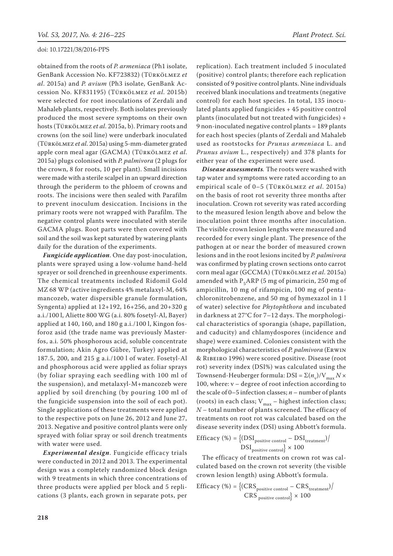obtained from the roots of *P. armeniaca* (Ph1 isolate, GenBank Accession No. KF723832) (Türkölmez *et al*. 2015a) and *P. avium* (Ph3 isolate, GenBank Accession No. KF831195) (Türkölmez *et al*. 2015b) were selected for root inoculations of Zerdali and Mahaleb plants, respectively. Both isolates previously produced the most severe symptoms on their own hosts (Türkölmez *et al*. 2015a, b). Primary roots and crowns (on the soil line) were underbark inoculated (Türkölmez *et al*. 2015a) using 5-mm-diameter grated apple corn meal agar (GACMA) (Türkölmez *et al*. 2015a) plugs colonised with *P. palmivora* (2 plugs for the crown, 8 for roots, 10 per plant). Small incisions were made with a sterile scalpel in an upward direction through the periderm to the phloem of crowns and roots. The incisions were then sealed with Parafilm to prevent inoculum desiccation. Incisions in the primary roots were not wrapped with Parafilm. The negative control plants were inoculated with sterile GACMA plugs. Root parts were then covered with soil and the soil was kept saturated by watering plants daily for the duration of the experiments.

*Fungicide application*. One day post-inoculation, plants were sprayed using a low-volume hand-held sprayer or soil drenched in greenhouse experiments. The chemical treatments included Ridomil Gold MZ 68 WP (active ingredients 4% metalaxyl-M, 64% mancozeb, water dispersible granule formulation, Syngenta) applied at 12+192, 16+256, and 20+320 g a.i./100 l, Aliette 800 WG (a.i. 80% fosetyl-Al, Bayer) applied at 140, 160, and 180 g a.i./100 l, Kingon fosforoz asid (the trade name was previously Masterfos, a.i. 50% phosphorous acid, soluble concentrate formulation; Akin Agro Gübre, Turkey) applied at 187.5, 200, and 215 g a.i./100 l of water. Fosetyl-Al and phosphorous acid were applied as foliar sprays (by foliar spraying each seedling with 100 ml of the suspension), and metalaxyl-M+mancozeb were applied by soil drenching (by pouring 100 ml of the fungicide suspension into the soil of each pot). Single applications of these treatments were applied to the respective pots on June 26, 2012 and June 27, 2013. Negative and positive control plants were only sprayed with foliar spray or soil drench treatments with water were used.

*Experimental design*. Fungicide efficacy trials were conducted in 2012 and 2013. The experimental design was a completely randomized block design with 9 treatments in which three concentrations of three products were applied per block and 5 replications (3 plants, each grown in separate pots, per

replication). Each treatment included 5 inoculated (positive) control plants; therefore each replication consisted of 9 positive control plants. Nine individuals received blank inoculations and treatments (negative control) for each host species. In total, 135 inoculated plants applied fungicides + 45 positive control plants (inoculated but not treated with fungicides) + 9 non-inoculated negative control plants = 189 plants for each host species (plants of Zerdali and Mahaleb used as rootstocks for *Prunus armeniaca* L. and *Prunus avium* L., respectively) and 378 plants for either year of the experiment were used.

*Disease assessments.* The roots were washed with tap water and symptoms were rated according to an empirical scale of 0–5 (Türkölmez *et al*. 2015a) on the basis of root rot severity three months after inoculation. Crown rot severity was rated according to the measured lesion length above and below the inoculation point three months after inoculation. The visible crown lesion lengths were measured and recorded for every single plant. The presence of the pathogen at or near the border of measured crown lesions and in the root lesions incited by *P. palmivora* was confirmed by plating crown sections onto carrot corn meal agar (GCCMA) (Türkölmez *et al*. 2015a) amended with  $P<sub>5</sub>ARP$  (5 mg of pimaricin, 250 mg of ampicillin, 10 mg of rifampicin, 100 mg of pentachloronitrobenzene, and 50 mg of hymexazol in 1 l of water) selective for *Phytophthora* and incubated in darkness at 27°C for 7–12 days. The morphological characteristics of sporangia (shape, papillation, and caducity) and chlamydospores (incidence and shape) were examined. Colonies consistent with the morphological characteristics of *P. palmivora* (Erwin & Ribeiro 1996) were scored positive. Disease (root rot) severity index (DSI%) was calculated using the Townsend-Heuberger formula:  $\text{DSI} = \Sigma(n_v)/\text{V}_{\text{max}} N \times$ 100, where: v – degree of root infection according to the scale of  $0-5$  infection classes;  $n-$  number of plants (roots) in each class;  $V_{max}$  – highest infection class; *N* – total number of plants screened. The efficacy of treatments on root rot was calculated based on the disease severity index (DSI) using Abbott's formula.

$$
\begin{aligned} \text{Efficacy (%)} &= \{ \text{(DSI}_{\text{positive control}} - \text{DSI}_{\text{treatment}}) / \\ \text{DSI}_{\text{positive control}} &\times 100 \end{aligned}
$$

The efficacy of treatments on crown rot was calculated based on the crown rot severity (the visible crown lesion length) using Abbott's formula.

Efficacy (%) = 
$$
\{(CRS_{positive \text{ control}} - CRS_{treatment})/CRS_{positive \text{ control}} \times 100
$$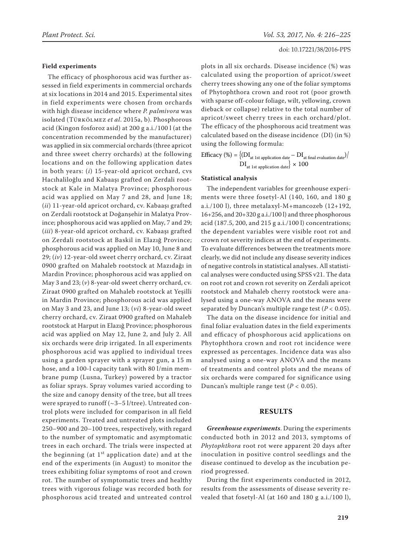#### **Field experiments**

The efficacy of phosphorous acid was further assessed in field experiments in commercial orchards at six locations in 2014 and 2015. Experimental sites in field experiments were chosen from orchards with high disease incidence where *P. palmivora* was isolated (Türkölmez *et al*. 2015a, b). Phosphorous acid (Kingon fosforoz asid) at 200 g a.i./100 l (at the concentration recommended by the manufacturer) was applied in six commercial orchards (three apricot and three sweet cherry orchards) at the following locations and on the following application dates in both years: (*i*) 15-year-old apricot orchard, cvs Hacıhaliloğlu and Kabaaşı grafted on Zerdali rootstock at Kale in Malatya Province; phosphorous acid was applied on May 7 and 28, and June 18; (*ii*) 11-year-old apricot orchard, cv. Kabaaşı grafted on Zerdali rootstock at Doğanşehir in Malatya Province; phosphorous acid was applied on May, 7 and 29; (*iii*) 8-year-old apricot orchard, cv. Kabaaşı grafted on Zerdali rootstock at Baskil in Elazığ Province; phosphorous acid was applied on May 10, June 8 and 29; (*iv*) 12-year-old sweet cherry orchard, cv. Ziraat 0900 grafted on Mahaleb rootstock at Mazıdağı in Mardin Province; phosphorous acid was applied on May 3 and 23; (*v*) 8-year-old sweet cherry orchard, cv. Ziraat 0900 grafted on Mahaleb rootstock at Yeşilli in Mardin Province; phosphorous acid was applied on May 3 and 23, and June 13; (*vi*) 8-year-old sweet cherry orchard, cv. Ziraat 0900 grafted on Mahaleb rootstock at Harput in Elazığ Province; phosphorous acid was applied on May 12, June 2, and July 2. All six orchards were drip irrigated. In all experiments phosphorous acid was applied to individual trees using a garden sprayer with a sprayer gun, a 15 m hose, and a 100-l capacity tank with 80 l/min membrane pump (Lusna, Turkey) powered by a tractor as foliar sprays. Spray volumes varied according to the size and canopy density of the tree, but all trees were sprayed to runoff  $(\sim 3-5$  l/tree). Untreated control plots were included for comparison in all field experiments. Treated and untreated plots included 250–900 and 20–100 trees, respectively, with regard to the number of symptomatic and asymptomatic trees in each orchard. The trials were inspected at the beginning (at  $1<sup>st</sup>$  application date) and at the end of the experiments (in August) to monitor the trees exhibiting foliar symptoms of root and crown rot. The number of symptomatic trees and healthy trees with vigorous foliage was recorded both for phosphorous acid treated and untreated control plots in all six orchards. Disease incidence (%) was calculated using the proportion of apricot/sweet cherry trees showing any one of the foliar symptoms of Phytophthora crown and root rot (poor growth with sparse off-colour foliage, wilt, yellowing, crown dieback or collapse) relative to the total number of apricot/sweet cherry trees in each orchard/plot. The efficacy of the phosphorous acid treatment was calculated based on the disease incidence (DI) (in %) using the following formula:

Efficacy (%) =  $\left\{ \left( DI_{\text{at 1st application date}} - DI_{\text{at final evaluation date}} \right) \right\}$  $DI_{\text{at 1st application date}} \times 100$ 

# **Statistical analysis**

The independent variables for greenhouse experiments were three fosetyl-Al (140, 160, and 180 g a.i./100 l), three metalaxyl-M+mancozeb (12+192, 16+256, and 20+320 g a.i./100 l) and three phosphorous acid (187.5, 200, and 215 g a.i./100 l) concentrations; the dependent variables were visible root rot and crown rot severity indices at the end of experiments. To evaluate differences between the treatments more clearly, we did not include any disease severity indices of negative controls in statistical analyses. All statistical analyses were conducted using SPSS v21. The data on root rot and crown rot severity on Zerdali apricot rootstock and Mahaleb cherry rootstock were analysed using a one-way ANOVA and the means were separated by Duncan's multiple range test  $(P < 0.05)$ .

The data on the disease incidence for initial and final foliar evaluation dates in the field experiments and efficacy of phosphorous acid applications on Phytophthora crown and root rot incidence were expressed as percentages. Incidence data was also analysed using a one-way ANOVA and the means of treatments and control plots and the means of six orchards were compared for significance using Duncan's multiple range test (*P <* 0.05).

## **RESULTS**

*Greenhouse experiments*. During the experiments conducted both in 2012 and 2013, symptoms of *Phytophthora* root rot were apparent 20 days after inoculation in positive control seedlings and the disease continued to develop as the incubation period progressed.

During the first experiments conducted in 2012, results from the assessments of disease severity revealed that fosetyl-Al (at 160 and 180 g a.i./100 l),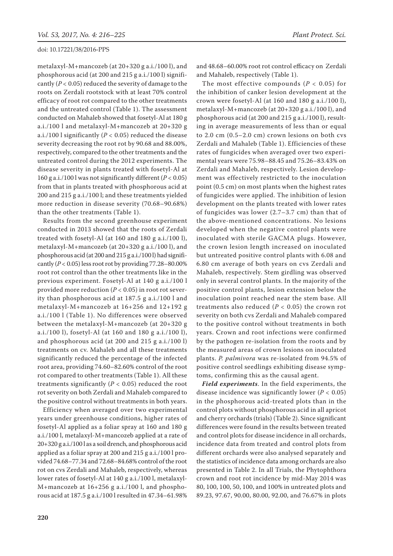metalaxyl-M+mancozeb (at 20+320 g a.i./100 l), and phosphorous acid (at 200 and 215 g a.i./100 l) significantly (*P <* 0.05) reduced the severity of damage to the roots on Zerdali rootstock with at least 70% control efficacy of root rot compared to the other treatments and the untreated control (Table 1). The assessment conducted on Mahaleb showed that fosetyl-Al at 180 g a.i./100 l and metalaxyl-M+mancozeb at 20+320 g a.i./100 l significantly (*P <* 0.05) reduced the disease severity decreasing the root rot by 90.68 and 88.00%, respectively, compared to the other treatments and the untreated control during the 2012 experiments. The disease severity in plants treated with fosetyl-Al at 160 g a.i./100 l was not significantly different (*P <* 0.05) from that in plants treated with phosphorous acid at 200 and 215 g a.i./100 l; and these treatments yielded more reduction in disease severity (70.68–90.68%) than the other treatments (Table 1).

Results from the second greenhouse experiment conducted in 2013 showed that the roots of Zerdali treated with fosetyl-Al (at 160 and 180 g a.i./100 l), metalaxyl-M+mancozeb (at 20+320 g a.i./100 l), and phosphorous acid (at 200 and 215 g a.i./100 l) had significantly  $(P < 0.05)$  less root rot by providing  $77.28 - 80.00\%$ root rot control than the other treatments like in the previous experiment. Fosetyl-Al at 140 g a.i./100 l provided more reduction (*P <* 0.05) in root rot severity than phosphorous acid at 187.5 g a.i./100 l and metalaxyl-M+mancozeb at 16+256 and 12+192 g a.i./100 l (Table 1). No differences were observed between the metalaxyl-M+mancozeb (at 20+320 g a.i./100 l), fosetyl-Al (at 160 and 180 g a.i./100 l), and phosphorous acid (at 200 and 215 g a.i./100 l) treatments on cv. Mahaleb and all these treatments significantly reduced the percentage of the infected root area, providing 74.60–82.60% control of the root rot compared to other treatments (Table 1). All these treatments significantly (*P <* 0.05) reduced the root rot severity on both Zerdali and Mahaleb compared to the positive control without treatments in both years.

Efficiency when averaged over two experimental years under greenhouse conditions, higher rates of fosetyl-Al applied as a foliar spray at 160 and 180 g a.i./100 l, metalaxyl-M+mancozeb applied at a rate of 20+320 g a.i./100 l as a soil drench, and phosphorous acid applied as a foliar spray at 200 and 215 g a.i./100 l provided 74.68–77.34 and 72.68–84.68% control of the root rot on cvs Zerdali and Mahaleb, respectively, whereas lower rates of fosetyl-Al at 140 g a.i./100 l, metalaxyl-M+mancozeb at 16+256 g a.i./100 l, and phosphorous acid at 187.5 g a.i./100 l resulted in 47.34–61.98%

**220**

and 48.68–60.00% root rot control efficacy on Zerdali and Mahaleb, respectively (Table 1).

The most effective compounds (*P <* 0.05) for the inhibition of canker lesion development at the crown were fosetyl-Al (at 160 and 180 g a.i./100 l), metalaxyl-M+mancozeb (at 20+320 g a.i./100 l), and phosphorous acid (at 200 and 215 g a.i./100 l), resulting in average measurements of less than or equal to 2.0 cm (0.5–2.0 cm) crown lesions on both cvs Zerdali and Mahaleb (Table 1). Efficiencies of these rates of fungicides when averaged over two experimental years were 75.98–88.45 and 75.26–83.43% on Zerdali and Mahaleb, respectively. Lesion development was effectively restricted to the inoculation point (0.5 cm) on most plants when the highest rates of fungicides were applied. The inhibition of lesion development on the plants treated with lower rates of fungicides was lower (2.7–3.7 cm) than that of the above-mentioned concentrations. No lesions developed when the negative control plants were inoculated with sterile GACMA plugs. However, the crown lesion length increased on inoculated but untreated positive control plants with 6.08 and 6.80 cm average of both years on cvs Zerdali and Mahaleb, respectively. Stem girdling was observed only in several control plants. In the majority of the positive control plants, lesion extension below the inoculation point reached near the stem base. All treatments also reduced (*P <* 0.05) the crown rot severity on both cvs Zerdali and Mahaleb compared to the positive control without treatments in both years. Crown and root infections were confirmed by the pathogen re-isolation from the roots and by the measured areas of crown lesions on inoculated plants. *P. palmivora* was re-isolated from 94.5% of positive control seedlings exhibiting disease symptoms, confirming this as the causal agent.

*Field experiments*. In the field experiments, the disease incidence was significantly lower (*P <* 0.05) in the phosphorous acid-treated plots than in the control plots without phosphorous acid in all apricot and cherry orchards (trials) (Table 2). Since significant differences were found in the results between treated and control plots for disease incidence in all orchards, incidence data from treated and control plots from different orchards were also analysed separately and the statistics of incidence data among orchards are also presented in Table 2. In all Trials, the Phytophthora crown and root rot incidence by mid-May 2014 was 80, 100, 100, 50, 100, and 100% in untreated plots and 89.23, 97.67, 90.00, 80.00, 92.00, and 76.67% in plots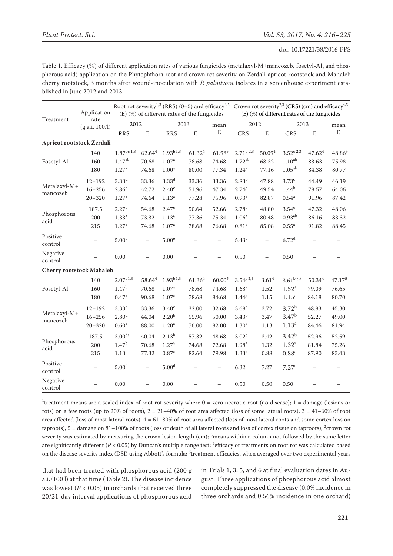Table 1. Efficacy (%) of different application rates of various fungicides (metalaxyl-M+mancozeb, fosetyl-Al, and phosphorous acid) application on the Phytophthora root and crown rot severity on Zerdali apricot rootstock and Mahaleb cherry rootstock, 3 months after wound-inoculation with *P. palmivora* isolates in a screenhouse experiment established in June 2012 and 2013

| Treatment                       | Application<br>rate<br>(g a.i. 100/l) | Root rot severity <sup>1,3</sup> (RRS) (0–5) and efficacy <sup>4,5</sup> Crown rot severity <sup>2,3</sup> (CRS) (cm) and efficacy <sup>4,5</sup><br>(E) (%) of different rates of the fungicides |             |                     |                    | (E) (%) of different rates of the fungicides |                          |                    |                                |                    |                    |
|---------------------------------|---------------------------------------|---------------------------------------------------------------------------------------------------------------------------------------------------------------------------------------------------|-------------|---------------------|--------------------|----------------------------------------------|--------------------------|--------------------|--------------------------------|--------------------|--------------------|
|                                 |                                       | 2012                                                                                                                                                                                              |             | 2013                |                    | mean                                         | 2012                     |                    | 2013                           |                    | mean               |
|                                 |                                       | <b>RRS</b>                                                                                                                                                                                        | $\mathbf E$ | <b>RRS</b>          | $\mathbf E$        | ${\bf E}$                                    | CRS                      | $\mathbf E$        | CRS                            | $\mathbf E$        | ${\bf E}$          |
| Apricot rootstock Zerdali       |                                       |                                                                                                                                                                                                   |             |                     |                    |                                              |                          |                    |                                |                    |                    |
| Fosetyl-Al                      | 140                                   | $1.87^{bc}$ <sup>1,3</sup>                                                                                                                                                                        | $62.64^{4}$ | $1.93^{b1,3}$       | 61.32 <sup>4</sup> | 61.985                                       | $2.71^{b.2,3}$           | 50.09 <sup>4</sup> | $3.52^{c}$ <sup>2,3</sup>      | 47.62 <sup>4</sup> | 48.86 <sup>5</sup> |
|                                 | 160                                   | 1.47 <sup>ab</sup>                                                                                                                                                                                | 70.68       | 1.07 <sup>a</sup>   | 78.68              | 74.68                                        | 1.72 <sup>ab</sup>       | 68.32              | 1.10 <sup>ab</sup>             | 83.63              | 75.98              |
|                                 | 180                                   | $1.27^{\rm a}$                                                                                                                                                                                    | 74.68       | $1.00^{\rm a}$      | 80.00              | 77.34                                        | $1.24^{\rm a}$           | 77.16              | 1.05 <sup>ab</sup>             | 84.38              | 80.77              |
| Metalaxyl-M+<br>mancozeb        | $12 + 192$                            | 3.33 <sup>d</sup>                                                                                                                                                                                 | 33.36       | 3.33 <sup>d</sup>   | 33.36              | 33.36                                        | $2.83^{b}$               | 47.88              | 3.73 <sup>c</sup>              | 44.49              | 46.19              |
|                                 | $16 + 256$                            | 2.86 <sup>d</sup>                                                                                                                                                                                 | 42.72       | 2.40 <sup>c</sup>   | 51.96              | 47.34                                        | $2.74^{b}$               | 49.54              | $1.44^{\rm b}$                 | 78.57              | 64.06              |
|                                 | $20 + 320$                            | 1.27 <sup>a</sup>                                                                                                                                                                                 | 74.64       | $1.13^{\rm a}$      | 77.28              | 75.96                                        | 0.93 <sup>a</sup>        | 82.87              | $0.54\ensuremath{^\mathrm{a}}$ | 91.96              | 87.42              |
| Phosphorous<br>acid             | 187.5                                 | 2.27 <sup>c</sup>                                                                                                                                                                                 | 54.68       | 2.47 <sup>c</sup>   | 50.64              | 52.66                                        | $2.78^{b}$               | 48.80              | 3.54 <sup>c</sup>              | 47.32              | 48.06              |
|                                 | 200                                   | 1.33 <sup>a</sup>                                                                                                                                                                                 | 73.32       | $1.13^{\rm a}$      | 77.36              | 75.34                                        | 1.06 <sup>a</sup>        | 80.48              | 0.93 <sup>ab</sup>             | 86.16              | 83.32              |
|                                 | 215                                   | 1.27 <sup>a</sup>                                                                                                                                                                                 | 74.68       | $1.07^{\rm a}$      | 78.68              | 76.68                                        | $0.81^a$                 | 85.08              | $0.55^{\rm a}$                 | 91.82              | 88.45              |
| Positive<br>control             |                                       | 5.00 <sup>e</sup>                                                                                                                                                                                 |             | 5.00 <sup>e</sup>   |                    |                                              | $5.43^{\rm c}$           |                    | 6.72 <sup>d</sup>              |                    |                    |
| Negative<br>control             |                                       | 0.00                                                                                                                                                                                              |             | 0.00                |                    |                                              | 0.50                     |                    | 0.50                           |                    |                    |
| <b>Cherry rootstock Mahaleb</b> |                                       |                                                                                                                                                                                                   |             |                     |                    |                                              |                          |                    |                                |                    |                    |
| Fosetyl-Al                      | 140                                   | $2.07^{\rm c\,1,3}$                                                                                                                                                                               | $58.64^4$   | $1.93^{b.1,3}$      | 61.36 <sup>4</sup> | $60.00^{5}$                                  | $3.54^{\mathrm{b}\,2,3}$ | 3.61 <sup>4</sup>  | $3.61^{b.2,3}$                 | 50.34 <sup>4</sup> | $47.17^{5}$        |
|                                 | 160                                   | 1.47 <sup>b</sup>                                                                                                                                                                                 | 70.68       | $1.07^{\rm a}$      | 78.68              | 74.68                                        | 1.63 <sup>a</sup>        | 1.52               | 1.52 <sup>a</sup>              | 79.09              | 76.65              |
|                                 | 180                                   | $0.47^{a}$                                                                                                                                                                                        | 90.68       | 1.07 <sup>a</sup>   | 78.68              | 84.68                                        | $1.44$ <sup>a</sup>      | 1.15               | 1.15 <sup>a</sup>              | 84.18              | 80.70              |
| Metalaxyl-M+<br>mancozeb        | $12 + 192$                            | 3.33 <sup>e</sup>                                                                                                                                                                                 | 33.36       | 3.40 <sup>c</sup>   | 32.00              | 32.68                                        | 3.68 <sup>b</sup>        | 3.72               | 3.72 <sup>b</sup>              | 48.83              | 45.30              |
|                                 | $16 + 256$                            | 2.80 <sup>d</sup>                                                                                                                                                                                 | 44.04       | 2.20 <sup>b</sup>   | 55.96              | 50.00                                        | 3.43 <sup>b</sup>        | 3.47               | $3.47^{b}$                     | 52.27              | 49.00              |
|                                 | $20 + 320$                            | 0.60 <sup>a</sup>                                                                                                                                                                                 | 88.00       | 1.20 <sup>a</sup>   | 76.00              | 82.00                                        | 1.30 <sup>a</sup>        | 1.13               | 1.13 <sup>a</sup>              | 84.46              | 81.94              |
| Phosphorous<br>acid             | 187.5                                 | 3.00 <sup>de</sup>                                                                                                                                                                                | 40.04       | $2.13^{b}$          | 57.32              | 48.68                                        | 3.02 <sup>b</sup>        | 3.42               | 3.42 <sup>b</sup>              | 52.96              | 52.59              |
|                                 | 200                                   | $1.47^{b}$                                                                                                                                                                                        | 70.68       | 1.27 <sup>a</sup>   | 74.68              | 72.68                                        | 1.98 <sup>a</sup>        | 1.32               | 1.32 <sup>a</sup>              | 81.84              | 75.26              |
|                                 | 215                                   | $1.13^{b}$                                                                                                                                                                                        | 77.32       | $0.87$ <sup>a</sup> | 82.64              | 79.98                                        | 1.33 <sup>a</sup>        | 0.88               | 0.88 <sup>a</sup>              | 87.90              | 83.43              |
| Positive<br>control             |                                       | 5.00 <sup>f</sup>                                                                                                                                                                                 | $\equiv$    | 5.00 <sup>d</sup>   |                    | $\overline{\phantom{0}}$                     | 6.32 <sup>c</sup>        | 7.27               | 7.27c                          |                    |                    |
| Negative<br>control             |                                       | 0.00                                                                                                                                                                                              |             | 0.00                |                    |                                              | 0.50                     | 0.50               | 0.50                           |                    |                    |

<sup>1</sup>treatment means are a scaled index of root rot severity where  $0 =$  zero necrotic root (no disease);  $1 =$  damage (lesions or rots) on a few roots (up to 20% of roots),  $2 = 21 - 40\%$  of root area affected (loss of some lateral roots),  $3 = 41 - 60\%$  of root area affected (loss of most lateral roots), 4 = 61–80% of root area affected (loss of most lateral roots and some cortex loss on taproots),  $5 =$  damage on  $81-100\%$  of roots (loss or death of all lateral roots and loss of cortex tissue on taproots); <sup>2</sup>crown rot severity was estimated by measuring the crown lesion length (cm); <sup>3</sup>means within a column not followed by the same letter are significantly different (P < 0.05) by Duncan's multiple range test; <sup>4</sup>efficacy of treatments on root rot was calculated based on the disease severity index (DSI) using Abbott's formula; <sup>5</sup>treatment efficacies, when averaged over two experimental years

that had been treated with phosphorous acid (200 g a.i./100 l) at that time (Table 2). The disease incidence was lowest (*P <* 0.05) in orchards that received three 20/21-day interval applications of phosphorous acid

in Trials 1, 3, 5, and 6 at final evaluation dates in August. Three applications of phosphorous acid almost completely suppressed the disease (0.0% incidence in three orchards and 0.56% incidence in one orchard)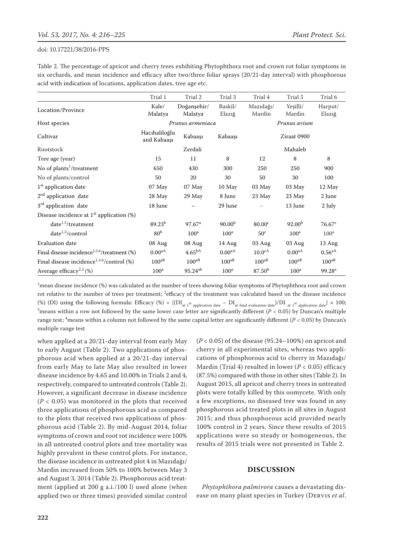Table 2. The percentage of apricot and cherry trees exhibiting Phytophthora root and crown rot foliar symptoms in six orchards, and mean incidence and efficacy after two/three foliar sprays (20/21-day interval) with phosphorous acid with indication of locations, application dates, tree age etc.

|                                                            | Trial 1                      | Trial 2            | Trial 3            | Trial 4                  | Trial 5            | Trial 6              |  |
|------------------------------------------------------------|------------------------------|--------------------|--------------------|--------------------------|--------------------|----------------------|--|
| Location/Province                                          | Kale/                        | Doğanşehir/        | Baskil/            | Mazıdağı/                | Yesilli/           | Harput/              |  |
|                                                            | Malatya                      | Malatya            | Elazığ             | Mardin                   | Mardin             | Elazığ               |  |
| Host species                                               |                              | Prunus armeniaca   |                    | Prunus avium             |                    |                      |  |
| Cultivar                                                   | Hacıhaliloğlu<br>and Kabaası | Kabaasi            | Kabaasi            |                          | Ziraat 0900        |                      |  |
| Rootstock                                                  |                              | Zerdali            |                    | Mahaleb                  |                    |                      |  |
| Tree age (year)                                            | 15                           | 11                 | 8                  | 12                       | 8                  | 8                    |  |
| No of plants <sup>1</sup> /treatment                       | 650                          | 430                | 300                | 250                      | 250                | 900                  |  |
| No of plants/control                                       | 50                           | 20                 | 30                 | 50                       | 30                 | 100                  |  |
| 1 <sup>st</sup> application date                           | 07 May                       | 07 May             | 10 May             | 03 May                   | 03 May             | 12 May               |  |
| 2 <sup>nd</sup> application date                           | 28 May                       | 29 May             | 8 June             | 23 May                   | 23 May             | 2 June               |  |
| 3 <sup>rd</sup> application date                           | 18 June                      |                    | 29 June            | $\overline{\phantom{a}}$ | 13 June            | 2 July               |  |
| Disease incidence at $1st$ application (%)                 |                              |                    |                    |                          |                    |                      |  |
| $date^{1,3}/treatment$                                     | 89.23 <sup>b</sup>           | 97.67 <sup>a</sup> | 90.00 <sup>b</sup> | 80.00 <sup>c</sup>       | 92.00 <sup>b</sup> | 76.67 <sup>c</sup>   |  |
| $date^{1,3}/control$                                       | 80 <sup>b</sup>              | 100 <sup>a</sup>   | 100 <sup>a</sup>   | 50 <sup>c</sup>          | 100 <sup>a</sup>   | $100^{\rm a}$        |  |
| <b>Evaluation</b> date                                     | 08 Aug                       | 08 Aug             | 14 Aug             | 03 Aug                   | 03 Aug             | 13 Aug               |  |
| Final disease incidence <sup>1,3,4</sup> /treatment $(\%)$ | 0.00 <sup>aA</sup>           | 4.65 <sup>bA</sup> | 0.00 <sup>aA</sup> | 10.0 <sup>cA</sup>       | 0.00 <sup>aA</sup> | $0.56$ <sup>aA</sup> |  |
| Final disease incidence <sup>1,3,4</sup> /control $(\%)$   | $100^{aB}$                   | $100^{aB}$         | $100^{aB}$         | $100^{aB}$               | $100^{aB}$         | $100^{aB}$           |  |
| Average efficacy <sup>2,3</sup> $(\%)$                     | 100 <sup>a</sup>             | $95.24^{ab}$       | $100^a$            | 87.50 <sup>b</sup>       | $100^a$            | 99.28 <sup>a</sup>   |  |

 $^1$ mean disease incidence (%) was calculated as the number of trees showing foliar symptoms of Phytophthora root and crown rot relative to the number of trees per treatment;  $^2$ efficacy of the treatment was calculated based on the disease incidence (%) (DI) using the following formula: Efficacy (%) = {(DI<sub>at 1</sub>st application date – DI<sub>at final evaluation date</sub>)/DI <sub>at 1</sub>st application date  $\geq$  200; 3 means within a row not followed by the same lower case letter are significantly different (*P* < 0.05) by Duncan's multiple range test; <sup>4</sup> means within a column not followed by the same capital letter are significantly different (*P* < 0.05) by Duncan's multiple range test

when applied at a 20/21-day interval from early May to early August (Table 2). Two applications of phosphorous acid when applied at a 20/21-day interval from early May to late May also resulted in lower disease incidence by 4.65 and 10.00% in Trials 2 and 4, respectively, compared to untreated controls (Table 2). However, a significant decrease in disease incidence (*P <* 0.05) was monitored in the plots that received three applications of phosphorous acid as compared to the plots that received two applications of phosphorous acid (Table 2). By mid-August 2014, foliar symptoms of crown and root rot incidence were 100% in all untreated control plots and tree mortality was highly prevalent in these control plots. For instance, the disease incidence in untreated plot 4 in Mazıdağı/ Mardin increased from 50% to 100% between May 3 and August 3, 2014 (Table 2). Phosphorous acid treatment (applied at 200 g a.i./100 l) used alone (when applied two or three times) provided similar control

(*P <* 0.05) of the disease (95.24–100%) on apricot and cherry in all experimental sites, whereas two applications of phosphorous acid to cherry in Mazıdağı/ Mardin (Trial 4) resulted in lower (*P <* 0.05) efficacy (87.5%) compared with those in other sites (Table 2). In August 2015, all apricot and cherry trees in untreated plots were totally killed by this oomycete. With only a few exceptions, no diseased tree was found in any phosphorous acid treated plots in all sites in August 2015; and thus phosphorous acid provided nearly 100% control in 2 years. Since these results of 2015 applications were so steady or homogeneous, the results of 2015 trials were not presented in Table 2.

# **DISCUSSION**

*Phytophthora palmivora* causes a devastating disease on many plant species in Turkey (Dervis *et al*.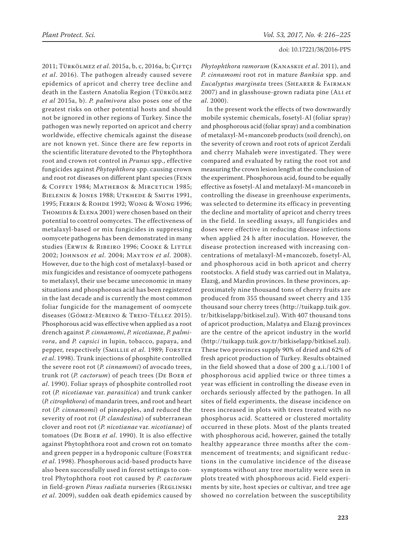2011; Türkölmez *et al*. 2015a, b, c, 2016a, b; ÇiftÇi *et al*. 2016). The pathogen already caused severe epidemics of apricot and cherry tree decline and death in the Eastern Anatolia Region (Türkölmez *et al* 2015a, b). *P. palmivora* also poses one of the greatest risks on other potential hosts and should not be ignored in other regions of Turkey. Since the pathogen was newly reported on apricot and cherry worldwide, effective chemicals against the disease are not known yet. Since there are few reports in the scientific literature devoted to the Phytophthora root and crown rot control in *Prunus* spp., effective fungicides against *Phytophthora* spp. causing crown and root rot diseases on different plant species (Fenn & Coffey 1984; Matheron & Mircetich 1985; BIELENIN & JONES 1988; UTKHEDE & SMITH 1991, 1995; Ferrin & Rohde 1992; Wong & Wong 1996; THOMIDIS & ELENA 2001) were chosen based on their potential to control oomycetes. The effectiveness of metalaxyl-based or mix fungicides in suppressing oomycete pathogens has been demonstrated in many studies (ERWIN & RIBEIRO 1996; COOKE & LITTLE 2002; Johnson *et al*. 2004; Mayton *et al*. 2008). However, due to the high cost of metalaxyl-based or mix fungicides and resistance of oomycete pathogens to metalaxyl, their use became uneconomic in many situations and phosphorous acid has been registered in the last decade and is currently the most common foliar fungicide for the management of oomycete diseases (Gómez-Merino & Trejo-Téllez 2015). Phosphorous acid was effective when applied as a root drench against *P. cinnamomi*, *P. nicotianae*, *P. palmivora*, and *P. capsici* in lupin, tobacco, papaya, and pepper, respectively (Smillie *et al*. 1989; Forster *et al*. 1998). Trunk injections of phosphite controlled the severe root rot (*P. cinnamomi*) of avocado trees, trunk rot (*P. cactorum*) of peach trees (De Boer *et al*. 1990). Foliar sprays of phosphite controlled root rot (*P. nicotianae* var. *parasitica*) and trunk canker (*P. citrophthora*) of mandarin trees, and root and heart rot (*P. cinnamomi*) of pineapples, and reduced the severity of root rot (*P. clandestina*) of subterranean clover and root rot (*P. nicotianae* var. *nicotianae*) of tomatoes (De Boer *et al*. 1990). It is also effective against Phytophthora root and crown rot on tomato and green pepper in a hydroponic culture (FORSTER *et al*. 1998). Phosphorous acid-based products have also been successfully used in forest settings to control Phytophthora root rot caused by *P. cactorum*  in field-grown *Pinus radiata* nurseries (Reglinski *et al*. 2009), sudden oak death epidemics caused by

*Phytophthora ramorum* (Kanaskie *et al*. 2011), and *P. cinnamomi* root rot in mature *Banksia* spp. and *Eucalyptus marginata* trees (Shearer & Fairman 2007) and in glasshouse-grown radiata pine (Ali *et al*. 2000).

In the present work the effects of two downwardly mobile systemic chemicals, fosetyl-Al (foliar spray) and phosphorous acid (foliar spray) and a combination of metalaxyl-M+mancozeb products (soil drench), on the severity of crown and root rots of apricot Zerdali and cherry Mahaleb were investigated. They were compared and evaluated by rating the root rot and measuring the crown lesion length at the conclusion of the experiment. Phosphorous acid, found to be equally effective as fosetyl-Al and metalaxyl-M+mancozeb in controlling the disease in greenhouse experiments, was selected to determine its efficacy in preventing the decline and mortality of apricot and cherry trees in the field. In seedling assays, all fungicides and doses were effective in reducing disease infections when applied 24 h after inoculation. However, the disease protection increased with increasing concentrations of metalaxyl-M+mancozeb, fosetyl-Al, and phosphorous acid in both apricot and cherry rootstocks. A field study was carried out in Malatya, Elazığ, and Mardin provinces. In these provinces, approximately nine thousand tons of cherry fruits are produced from 355 thousand sweet cherry and 135 thousand sour cherry trees (http://tuikapp.tuik.gov. tr/bitkiselapp/bitkisel.zul). With 407 thousand tons of apricot production, Malatya and Elazığ provinces are the centre of the apricot industry in the world (http://tuikapp.tuik.gov.tr/bitkiselapp/bitkisel.zul). These two provinces supply 90% of dried and 62% of fresh apricot production of Turkey. Results obtained in the field showed that a dose of 200 g a.i./100 l of phosphorous acid applied twice or three times a year was efficient in controlling the disease even in orchards seriously affected by the pathogen. In all sites of field experiments, the disease incidence on trees increased in plots with trees treated with no phosphorus acid. Scattered or clustered mortality occurred in these plots. Most of the plants treated with phosphorous acid, however, gained the totally healthy appearance three months after the commencement of treatments; and significant reductions in the cumulative incidence of the disease symptoms without any tree mortality were seen in plots treated with phosphorous acid. Field experiments by site, host species or cultivar, and tree age showed no correlation between the susceptibility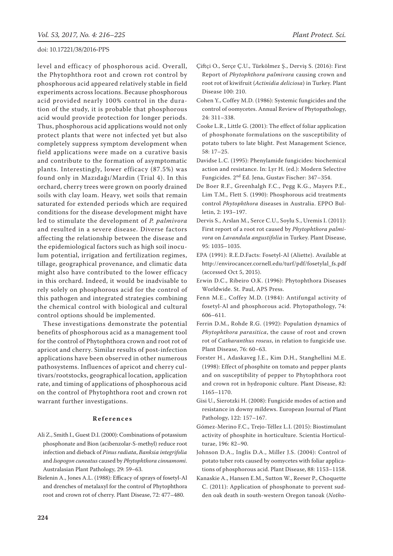level and efficacy of phosphorous acid. Overall, the Phytophthora root and crown rot control by phosphorous acid appeared relatively stable in field experiments across locations. Because phosphorous acid provided nearly 100% control in the duration of the study, it is probable that phosphorous acid would provide protection for longer periods. Thus, phosphorous acid applications would not only protect plants that were not infected yet but also completely suppress symptom development when field applications were made on a curative basis and contribute to the formation of asymptomatic plants. Interestingly, lower efficacy (87.5%) was found only in Mazıdağı/Mardin (Trial 4). In this orchard, cherry trees were grown on poorly drained soils with clay loam. Heavy, wet soils that remain saturated for extended periods which are required conditions for the disease development might have led to stimulate the development of *P. palmivora* and resulted in a severe disease. Diverse factors affecting the relationship between the disease and the epidemiological factors such as high soil inoculum potential, irrigation and fertilization regimes, tillage, geographical provenance, and climatic data might also have contributed to the lower efficacy in this orchard. Indeed, it would be inadvisable to rely solely on phosphorous acid for the control of this pathogen and integrated strategies combining the chemical control with biological and cultural control options should be implemented.

These investigations demonstrate the potential benefits of phosphorous acid as a management tool for the control of Phytophthora crown and root rot of apricot and cherry. Similar results of post-infection applications have been observed in other numerous pathosystems. Influences of apricot and cherry cultivars/rootstocks, geographical location, application rate, and timing of applications of phosphorous acid on the control of Phytophthora root and crown rot warrant further investigations.

### **References**

- Ali Z., Smith I., Guest D.I. (2000): Combinations of potassium phosphonate and Bion (acibenzolar-S-methyl) reduce root infection and dieback of *Pinus radiata*, *Banksia integrifolia* and *Isopogon cuneatus* caused by *Phytophthora cinnamomi*. Australasian Plant Pathology, 29: 59–63.
- Bielenin A., Jones A.L. (1988): Efficacy of sprays of fosetyl-Al and drenches of metalaxyl for the control of Phytophthora root and crown rot of cherry. Plant Disease, 72: 477–480.
- Çiftçi O., Serçe Ç.U., Türkölmez Ş., Derviş S. (2016): First Report of *Phytophthora palmivora* causing crown and root rot of kiwifruit (*Actinidia deliciosa*) in Turkey. Plant Disease 100: 210
- Cohen Y., Coffey M.D. (1986): Systemic fungicides and the control of oomycetes. Annual Review of Phytopathology,  $24.311 - 338$
- Cooke L.R., Little G. (2001): The effect of foliar application of phosphonate formulations on the susceptibility of potato tubers to late blight. Pest Management Science, 58: 17–25.
- Davidse L.C. (1995): Phenylamide fungicides: biochemical action and resistance. In: Lyr H. (ed.): Modern Selective Fungicides. 2nd Ed. Jena, Gustav Fischer: 347–354.
- De Boer R.F., Greenhalgh F.C., Pegg K.G., Mayers P.E., Lim T.M., Flett S. (1990): Phosphorous acid treatments control *Phytophthora* diseases in Australia. EPPO Bulletin, 2: 193–197.
- Dervis S., Arslan M., Serce C.U., Soylu S., Uremis I. (2011): First report of a root rot caused by *Phytophthora palmivora* on *Lavandula angustifolia* in Turkey. Plant Disease, 95: 1035–1035.
- EPA (1991): R.E.D.Facts: Fosetyl-Al (Aliette). Available at http://envirocancer.cornell.edu/turf/pdf/fosetylal\_fs.pdf (accessed Oct 5, 2015).
- Erwin D.C., Ribeiro O.K. (1996): Phytophthora Diseases Worldwide. St. Paul, APS Press.
- Fenn M.E., Coffey M.D. (1984): Antifungal activity of fosetyl-Al and phosphorous acid. Phytopathology, 74: 606–611.
- Ferrin D.M., Rohde R.G. (1992): Population dynamics of *Phytophthora parasitica*, the cause of root and crown rot of *Catharanthus roseus*, in relation to fungicide use. Plant Disease, 76: 60–63.
- Forster H., Adaskaveg J.E., Kim D.H., Stanghellini M.E. (1998): Effect of phosphite on tomato and pepper plants and on susceptibility of pepper to Phytophthora root and crown rot in hydroponic culture. Plant Disease, 82: 1165–1170.
- Gisi U., Sierotzki H. (2008): Fungicide modes of action and resistance in downy mildews. European Journal of Plant Pathology, 122: 157–167.
- Gómez-Merino F.C., Trejo-Téllez L.I. (2015): Biostimulant activity of phosphite in horticulture. Scientia Horticulturae, 196: 82–90.
- Johnson D.A., Inglis D.A., Miller J.S. (2004): Control of potato tuber rots caused by oomycetes with foliar applications of phosphorous acid. Plant Disease, 88: 1153–1158.
- Kanaskie A., Hansen E.M., Sutton W., Reeser P., Choquette C. (2011): Application of phosphonate to prevent sudden oak death in south-western Oregon tanoak (*Notho-*